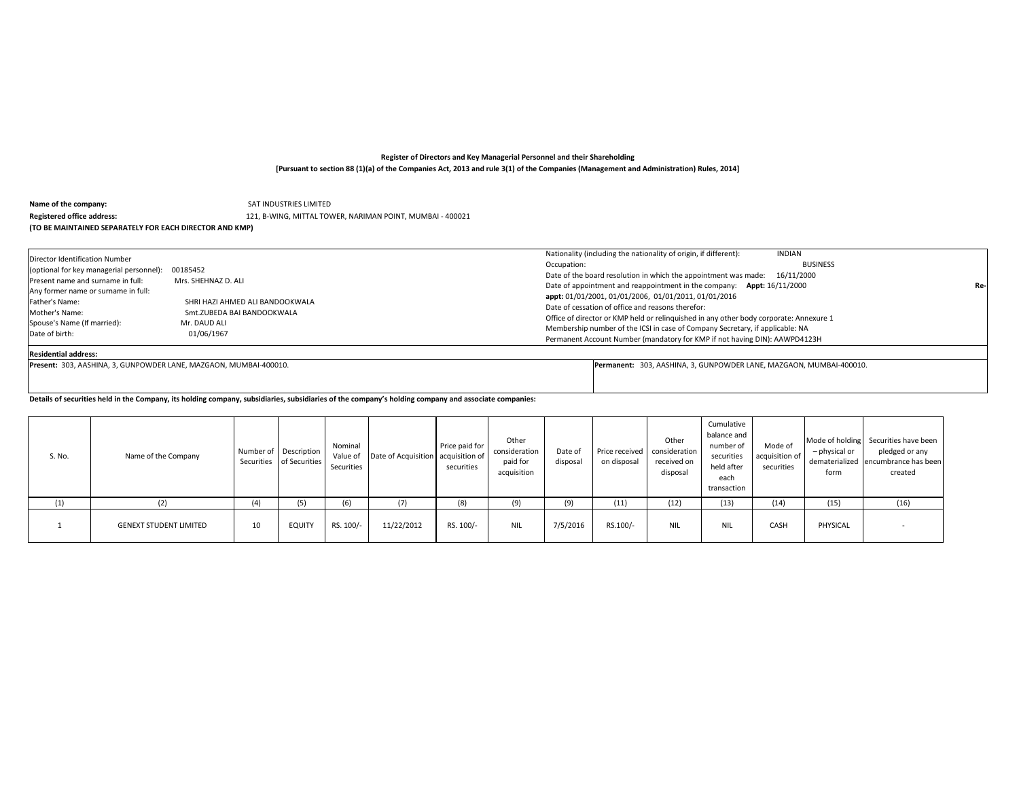**Name of the company: SAT INDUSTRIES LIMITED** 

#### **Registered office address:** 121, B-WING, MITTAL TOWER, NARIMAN POINT, MUMBAI - 400021

### **(TO BE MAINTAINED SEPARATELY FOR EACH DIRECTOR AND KMP)**

| Director Identification Number<br>(optional for key managerial personnel):<br>Present name and surname in full:<br>Any former name or surname in full:<br>Father's Name:<br>Mother's Name:<br>Spouse's Name (If married):<br>Date of birth: | 00185452<br>Mrs. SHEHNAZ D. ALI<br>SHRI HAZI AHMED ALI BANDOOKWALA<br>Smt.ZUBEDA BAI BANDOOKWALA<br>Mr. DAUD ALI<br>01/06/1967 | Nationality (including the nationality of origin, if different):<br><b>INDIAN</b><br><b>BUSINESS</b><br>Occupation:<br>Date of the board resolution in which the appointment was made: 16/11/2000<br>Date of appointment and reappointment in the company: Appt: 16/11/2000<br>appt: 01/01/2001, 01/01/2006, 01/01/2011, 01/01/2016<br>Date of cessation of office and reasons therefor:<br>Office of director or KMP held or relinquished in any other body corporate: Annexure 1<br>Membership number of the ICSI in case of Company Secretary, if applicable: NA<br>Permanent Account Number (mandatory for KMP if not having DIN): AAWPD4123H | Re- |
|---------------------------------------------------------------------------------------------------------------------------------------------------------------------------------------------------------------------------------------------|--------------------------------------------------------------------------------------------------------------------------------|---------------------------------------------------------------------------------------------------------------------------------------------------------------------------------------------------------------------------------------------------------------------------------------------------------------------------------------------------------------------------------------------------------------------------------------------------------------------------------------------------------------------------------------------------------------------------------------------------------------------------------------------------|-----|
|---------------------------------------------------------------------------------------------------------------------------------------------------------------------------------------------------------------------------------------------|--------------------------------------------------------------------------------------------------------------------------------|---------------------------------------------------------------------------------------------------------------------------------------------------------------------------------------------------------------------------------------------------------------------------------------------------------------------------------------------------------------------------------------------------------------------------------------------------------------------------------------------------------------------------------------------------------------------------------------------------------------------------------------------------|-----|

Residential address:<br>Present: 303, AASHINA, 3, GUNPOWDER LANE, MAZGAON, MUMBAI-400010.

**Present:** 303, AASHINA, 3, GUNPOWDER LANE, MAZGAON, MUMBAI-400010. **Permanent:** 303, AASHINA, 3, GUNPOWDER LANE, MAZGAON, MUMBAI-400010.

**Details of securities held in the Company, its holding company, subsidiaries, subsidiaries of the company's holding company and associate companies:**

| S. No. | Name of the Company           |    | Number of Description<br>Securities of Securities | Nominal<br>Value of<br>Securities | Date of Acquisition   acquisition of | Price paid for<br>securities | Other<br>consideration<br>paid for<br>acquisition | Date of<br>disposal | on disposal | Other<br>Price received consideration<br>received on<br>disposal | Cumulative<br>balance and<br>number of<br>securities<br>held after<br>each<br>transaction | Mode of<br>acquisition of<br>securities | - physical or<br>form | Mode of holding Securities have been<br>pledged or any<br>dematerialized encumbrance has been<br>created |
|--------|-------------------------------|----|---------------------------------------------------|-----------------------------------|--------------------------------------|------------------------------|---------------------------------------------------|---------------------|-------------|------------------------------------------------------------------|-------------------------------------------------------------------------------------------|-----------------------------------------|-----------------------|----------------------------------------------------------------------------------------------------------|
| (1)    |                               |    | (5)                                               | (6)                               | (7)                                  | (8)                          |                                                   | (9)                 | (11)        | (12)                                                             | (13)                                                                                      | (14)                                    | (15)                  | (16)                                                                                                     |
|        | <b>GENEXT STUDENT LIMITED</b> | 10 | <b>EQUITY</b>                                     | RS. 100/-                         | 11/22/2012                           | RS. 100/-                    | <b>NIL</b>                                        | 7/5/2016            | RS.100/-    | <b>NIL</b>                                                       | <b>NIL</b>                                                                                | CASH                                    | PHYSICAL              |                                                                                                          |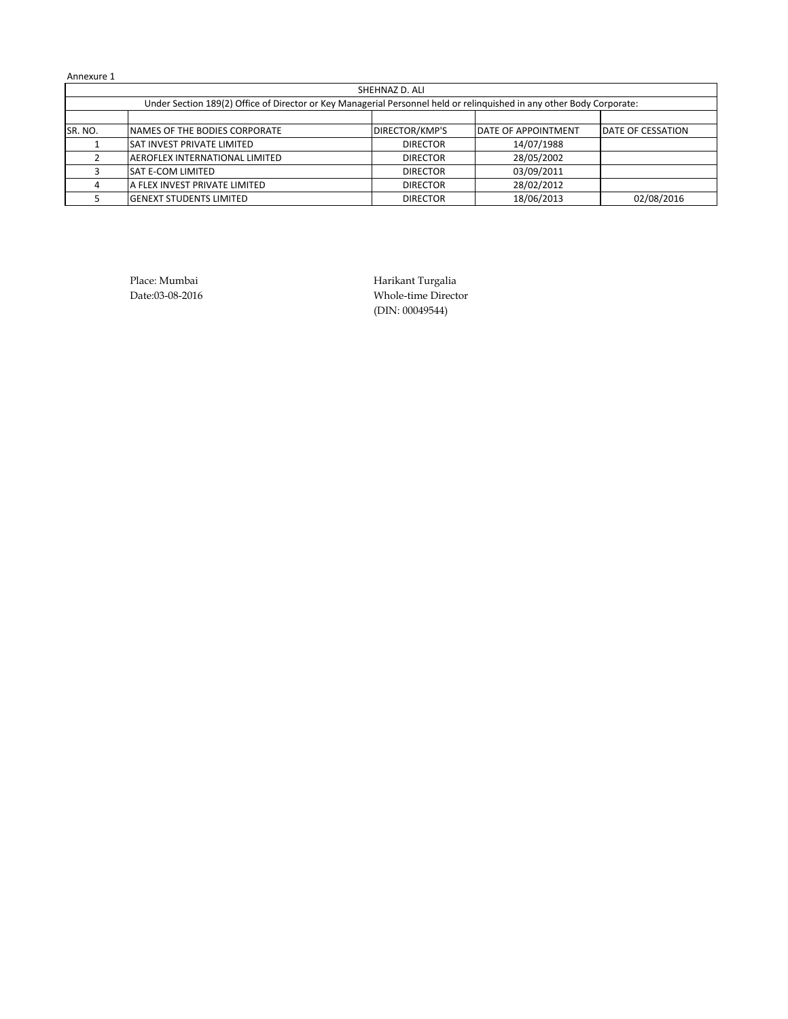|                                                                                                                       | SHEHNAZ D. ALI                       |                 |                            |                   |  |  |  |  |  |  |  |  |
|-----------------------------------------------------------------------------------------------------------------------|--------------------------------------|-----------------|----------------------------|-------------------|--|--|--|--|--|--|--|--|
| Under Section 189(2) Office of Director or Key Managerial Personnel held or relinguished in any other Body Corporate: |                                      |                 |                            |                   |  |  |  |  |  |  |  |  |
|                                                                                                                       |                                      |                 |                            |                   |  |  |  |  |  |  |  |  |
| SR. NO.                                                                                                               | NAMES OF THE BODIES CORPORATE        | DIRECTOR/KMP'S  | <b>DATE OF APPOINTMENT</b> | DATE OF CESSATION |  |  |  |  |  |  |  |  |
|                                                                                                                       | <b>SAT INVEST PRIVATE LIMITED</b>    | <b>DIRECTOR</b> | 14/07/1988                 |                   |  |  |  |  |  |  |  |  |
|                                                                                                                       | AEROFLEX INTERNATIONAL LIMITED       | <b>DIRECTOR</b> | 28/05/2002                 |                   |  |  |  |  |  |  |  |  |
|                                                                                                                       | <b>SAT E-COM LIMITED</b>             | <b>DIRECTOR</b> | 03/09/2011                 |                   |  |  |  |  |  |  |  |  |
|                                                                                                                       | <b>A FLEX INVEST PRIVATE LIMITED</b> | <b>DIRECTOR</b> | 28/02/2012                 |                   |  |  |  |  |  |  |  |  |
|                                                                                                                       | <b>IGENEXT STUDENTS LIMITED</b>      | <b>DIRECTOR</b> | 18/06/2013                 | 02/08/2016        |  |  |  |  |  |  |  |  |

Place: Mumbai **Harikant Turgalia** Date:03-08-2016 Whole-time Director (DIN: 00049544)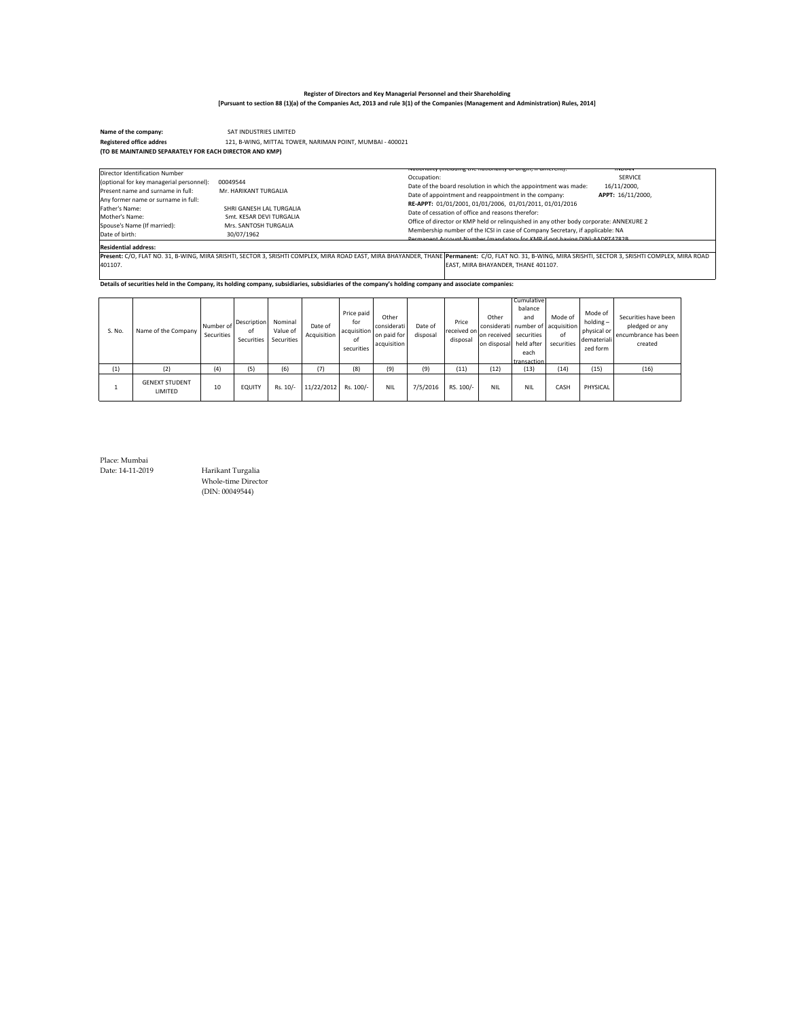SAT INDUSTRIES LIMITED **Name of the company:**  121, B-WING, MITTAL TOWER, NARIMAN POINT, MUMBAI - 400021 **Registered office address: (TO BE MAINTAINED SEPARATELY FOR EACH DIRECTOR AND KMP)**

| Director Identification Number<br>(optional for key managerial personnel):<br>Present name and surname in full:<br>Any former name or surname in full: | 00049544<br>Mr. HARIKANT TURGALIA                                                           | ivationality (including the nationality of origin, if unferent).<br><b>INDIAN</b><br><b>SERVICE</b><br>Occupation:<br>16/11/2000,<br>Date of the board resolution in which the appointment was made:<br>Date of appointment and reappointment in the company:<br>APPT: 16/11/2000.                                                                                           |
|--------------------------------------------------------------------------------------------------------------------------------------------------------|---------------------------------------------------------------------------------------------|------------------------------------------------------------------------------------------------------------------------------------------------------------------------------------------------------------------------------------------------------------------------------------------------------------------------------------------------------------------------------|
| Father's Name:<br>Mother's Name:<br>Spouse's Name (If married):<br>Date of birth:                                                                      | SHRI GANESH LAL TURGALIA<br>Smt. KESAR DEVI TURGALIA<br>Mrs. SANTOSH TURGALIA<br>30/07/1962 | RE-APPT: 01/01/2001, 01/01/2006, 01/01/2011, 01/01/2016<br>Date of cessation of office and reasons therefor:<br>Office of director or KMP held or relinguished in any other body corporate: ANNEXURE 2<br>Membership number of the ICSI in case of Company Secretary, if applicable: NA<br><b>Dermanent Account Number (mandatory for KMD if not baying DIN): AADDT4782B</b> |
| <b>Residential address:</b>                                                                                                                            |                                                                                             |                                                                                                                                                                                                                                                                                                                                                                              |
|                                                                                                                                                        |                                                                                             | Present: C/O, FLAT NO. 31, B-WING, MIRA SRISHTI, SECTOR 3, SRISHTI COMPLEX, MIRA ROAD EAST, MIRA BHAYANDER, THANE Permanent: C/O, FLAT NO. 31, B-WING, MIRA SRISHTI, SECTOR 3, SRISHTI COMPLEX, MIRA ROAD                                                                                                                                                                    |
| 401107.                                                                                                                                                |                                                                                             | EAST, MIRA BHAYANDER, THANE 401107.                                                                                                                                                                                                                                                                                                                                          |

**Details of securities held in the Company, its holding company, subsidiaries, subsidiaries of the company's holding company and associate companies:**

| S. No. | Name of the Company              | Number of<br>Securities | Description<br>οf<br>Securities | Nominal<br>Value of<br>Securities | Date of<br>Acquisition | Price paid<br>for<br>acquisition<br>of<br>securities | Other<br>considerati<br>on paid for<br>acquisition | Date of<br>disposal | Price<br>received on<br>disposal | Other<br>considerati number of lacquisition<br>on received securities<br>on disposal held after | Cumulative<br>balance<br>and<br>each<br>transaction | Mode of<br>of<br>securities | Mode of<br>$holding -$<br>physical or<br>demateriali<br>zed form | Securities have been<br>pledged or any<br>encumbrance has been<br>created |
|--------|----------------------------------|-------------------------|---------------------------------|-----------------------------------|------------------------|------------------------------------------------------|----------------------------------------------------|---------------------|----------------------------------|-------------------------------------------------------------------------------------------------|-----------------------------------------------------|-----------------------------|------------------------------------------------------------------|---------------------------------------------------------------------------|
| (1)    | (2)                              | (4)                     | (5)                             | (6)                               | (7)                    | (8)                                                  | (9)                                                | (9)                 | (11)                             | (12)                                                                                            | (13)                                                | (14)                        | (15)                                                             | (16)                                                                      |
|        | <b>GENEXT STUDENT</b><br>LIMITED | 10                      | <b>EQUITY</b>                   | Rs. 10/-                          | 11/22/2012             | Rs. 100/-                                            | <b>NIL</b>                                         | 7/5/2016            | RS. 100/-                        | <b>NIL</b>                                                                                      | <b>NIL</b>                                          | CASH                        | PHYSICAL                                                         |                                                                           |

Place: Mumbai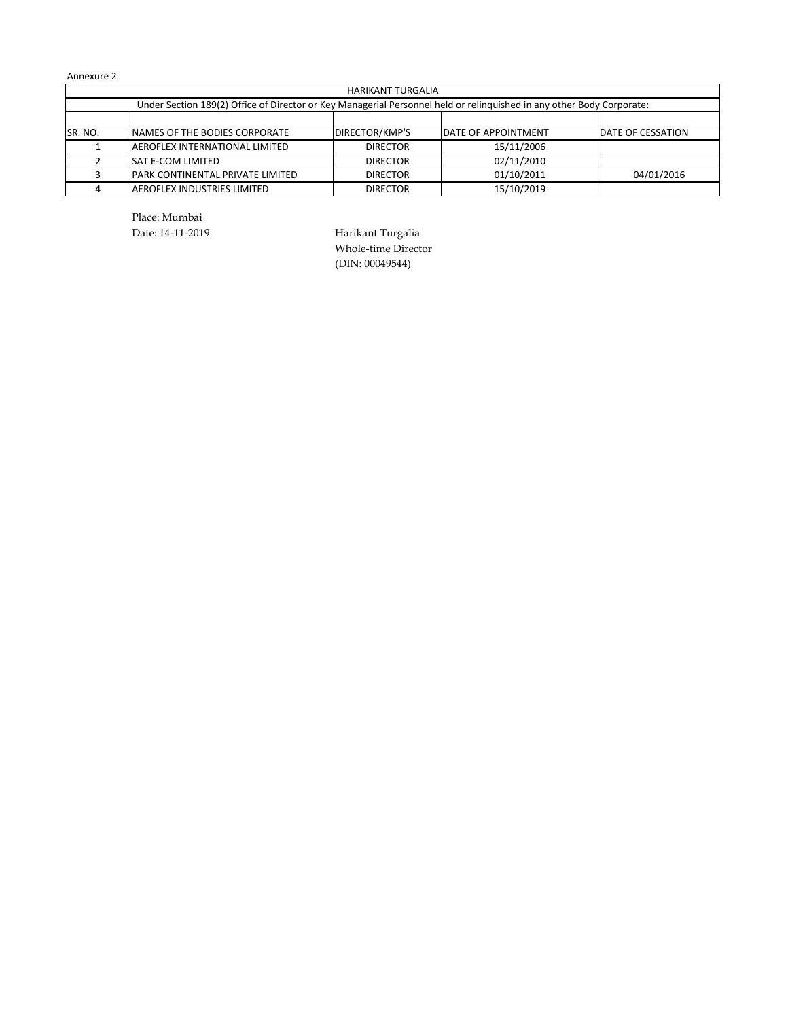|          | <b>HARIKANT TURGALIA</b>                                                                                              |                       |                     |                          |  |  |  |  |  |  |  |
|----------|-----------------------------------------------------------------------------------------------------------------------|-----------------------|---------------------|--------------------------|--|--|--|--|--|--|--|
|          | Under Section 189(2) Office of Director or Key Managerial Personnel held or relinguished in any other Body Corporate: |                       |                     |                          |  |  |  |  |  |  |  |
|          |                                                                                                                       |                       |                     |                          |  |  |  |  |  |  |  |
| ISR. NO. | <b>INAMES OF THE BODIES CORPORATE</b>                                                                                 | <b>DIRECTOR/KMP'S</b> | DATE OF APPOINTMENT | <b>DATE OF CESSATION</b> |  |  |  |  |  |  |  |
|          | <b>JAEROFLEX INTERNATIONAL LIMITED</b>                                                                                | <b>DIRECTOR</b>       | 15/11/2006          |                          |  |  |  |  |  |  |  |
|          | <b>SAT E-COM LIMITED</b>                                                                                              | <b>DIRECTOR</b>       | 02/11/2010          |                          |  |  |  |  |  |  |  |
|          | <b>PARK CONTINENTAL PRIVATE LIMITED</b>                                                                               | <b>DIRECTOR</b>       | 01/10/2011          | 04/01/2016               |  |  |  |  |  |  |  |
|          | <b>JAEROFLEX INDUSTRIES LIMITED</b>                                                                                   | <b>DIRECTOR</b>       | 15/10/2019          |                          |  |  |  |  |  |  |  |

Place: Mumbai

Date: 14-11-2019 Harikant Turgalia Whole-time Director (DIN: 00049544)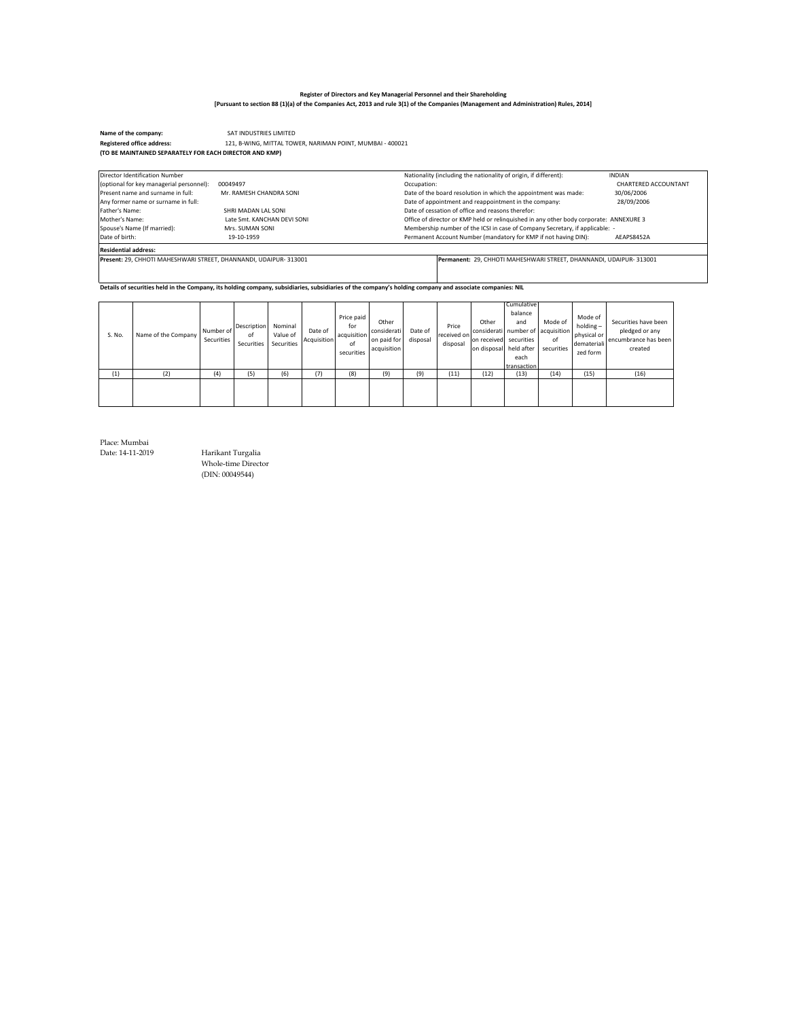SAT INDUSTRIES LIMITED **Name of the company:**  121, B-WING, MITTAL TOWER, NARIMAN POINT, MUMBAI - 400021 **Registered office address: (TO BE MAINTAINED SEPARATELY FOR EACH DIRECTOR AND KMP)**

| Director Identification Number                                   |                             | Nationality (including the nationality of origin, if different):                       | <b>INDIAN</b>        |
|------------------------------------------------------------------|-----------------------------|----------------------------------------------------------------------------------------|----------------------|
| (optional for key managerial personnel):                         | 00049497                    | Occupation:                                                                            | CHARTERED ACCOUNTANT |
| Present name and surname in full:                                | Mr. RAMESH CHANDRA SONI     | Date of the board resolution in which the appointment was made:                        | 30/06/2006           |
| Any former name or surname in full:                              |                             | Date of appointment and reappointment in the company:                                  | 28/09/2006           |
| Father's Name:                                                   | SHRI MADAN LAL SONI         | Date of cessation of office and reasons therefor:                                      |                      |
| Mother's Name:                                                   | Late Smt. KANCHAN DEVI SONI | Office of director or KMP held or relinquished in any other body corporate: ANNEXURE 3 |                      |
| Spouse's Name (If married):                                      | Mrs. SUMAN SONI             | Membership number of the ICSI in case of Company Secretary, if applicable: -           |                      |
| Date of birth:                                                   | 19-10-1959                  | Permanent Account Number (mandatory for KMP if not having DIN):                        | AEAPS8452A           |
| <b>Residential address:</b>                                      |                             |                                                                                        |                      |
| Present: 29. CHHOTI MAHESHWARI STREET, DHANNANDI, UDAIPUR-313001 |                             | Permanent: 29, CHHOTI MAHESHWARI STREET, DHANNANDI, UDAIPUR- 313001                    |                      |
|                                                                  |                             |                                                                                        |                      |

**Details of securities held in the Company, its holding company, subsidiaries, subsidiaries of the company's holding company and associate companies: NIL**

| S. No. | Name of the Company | Number of<br>Securities | Description<br>of<br>Securities | Nominal<br>Value of<br>Securities | Date of<br>Acquisition | Price paid<br>for<br>acquisition<br>of<br>securities | Other<br>considerati<br>on paid for<br>acquisition | Date of<br>disposal | Price<br>received on<br>disposal | Other<br>on received securities<br>on disposal held after | Cumulative<br>balance<br>and<br>each<br>transaction | Mode of<br>considerati number of acquisition<br>of<br>securities | Mode of<br>$holding -$<br>physical or<br>demateriali<br>zed form | Securities have been<br>pledged or any<br>encumbrance has been<br>created |
|--------|---------------------|-------------------------|---------------------------------|-----------------------------------|------------------------|------------------------------------------------------|----------------------------------------------------|---------------------|----------------------------------|-----------------------------------------------------------|-----------------------------------------------------|------------------------------------------------------------------|------------------------------------------------------------------|---------------------------------------------------------------------------|
| (1)    | (2)                 | (4)                     | (5)                             | (6)                               | (7)                    | (8)                                                  | (9)                                                | (9)                 | (11)                             | (12)                                                      | (13)                                                | (14)                                                             | (15)                                                             | (16)                                                                      |
|        |                     |                         |                                 |                                   |                        |                                                      |                                                    |                     |                                  |                                                           |                                                     |                                                                  |                                                                  |                                                                           |

Place: Mumbai

Date: 14-11-2019 Harikant Turgalia Whole-time Director (DIN: 00049544)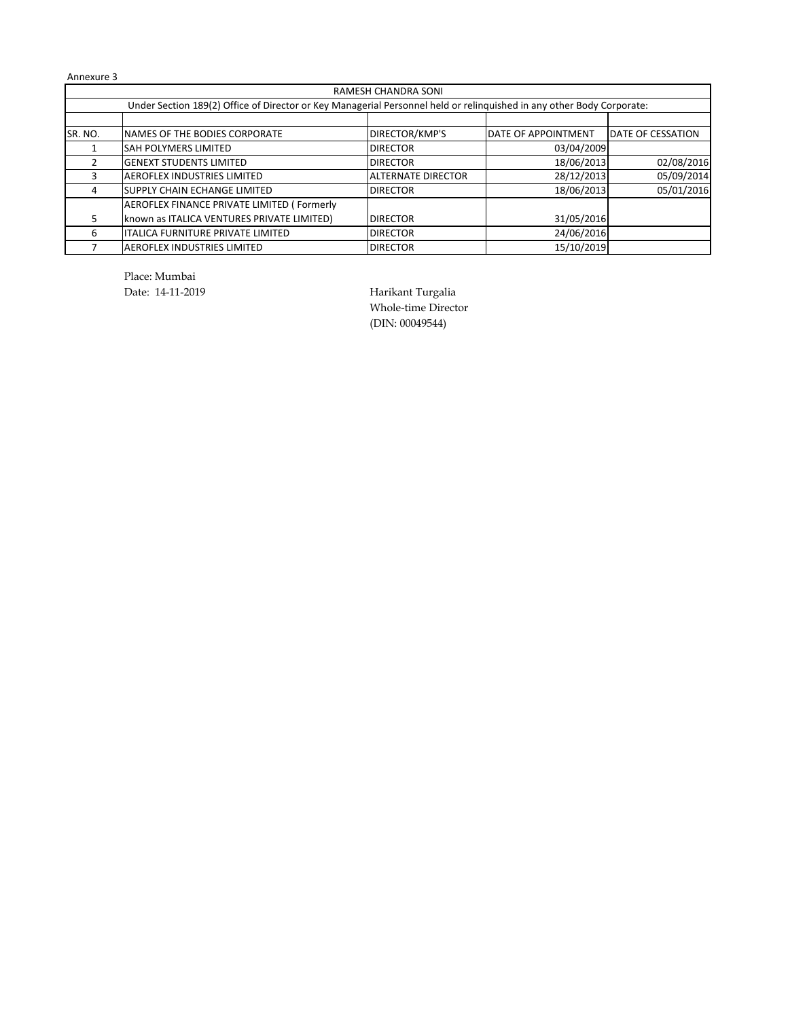|                                                                                                                       | RAMESH CHANDRA SONI                        |                           |                            |                          |  |  |  |  |  |  |  |  |
|-----------------------------------------------------------------------------------------------------------------------|--------------------------------------------|---------------------------|----------------------------|--------------------------|--|--|--|--|--|--|--|--|
| Under Section 189(2) Office of Director or Key Managerial Personnel held or relinquished in any other Body Corporate: |                                            |                           |                            |                          |  |  |  |  |  |  |  |  |
|                                                                                                                       |                                            |                           |                            |                          |  |  |  |  |  |  |  |  |
| SR. NO.                                                                                                               | <b>INAMES OF THE BODIES CORPORATE</b>      | DIRECTOR/KMP'S            | <b>DATE OF APPOINTMENT</b> | <b>DATE OF CESSATION</b> |  |  |  |  |  |  |  |  |
|                                                                                                                       | <b>SAH POLYMERS LIMITED</b>                | <b>DIRECTOR</b>           | 03/04/2009                 |                          |  |  |  |  |  |  |  |  |
|                                                                                                                       | <b>GENEXT STUDENTS LIMITED</b>             | <b>DIRECTOR</b>           | 18/06/2013                 | 02/08/2016               |  |  |  |  |  |  |  |  |
|                                                                                                                       | <b>AEROFLEX INDUSTRIES LIMITED</b>         | <b>ALTERNATE DIRECTOR</b> | 28/12/2013                 | 05/09/2014               |  |  |  |  |  |  |  |  |
| 4                                                                                                                     | <b>SUPPLY CHAIN ECHANGE LIMITED</b>        | <b>DIRECTOR</b>           | 18/06/2013                 | 05/01/2016               |  |  |  |  |  |  |  |  |
|                                                                                                                       | AEROFLEX FINANCE PRIVATE LIMITED (Formerly |                           |                            |                          |  |  |  |  |  |  |  |  |
|                                                                                                                       | known as ITALICA VENTURES PRIVATE LIMITED) | <b>DIRECTOR</b>           | 31/05/2016                 |                          |  |  |  |  |  |  |  |  |
| 6                                                                                                                     | <b>ITALICA FURNITURE PRIVATE LIMITED</b>   | <b>DIRECTOR</b>           | 24/06/2016                 |                          |  |  |  |  |  |  |  |  |
|                                                                                                                       | <b>AEROFLEX INDUSTRIES LIMITED</b>         | <b>DIRECTOR</b>           | 15/10/2019                 |                          |  |  |  |  |  |  |  |  |

Place: Mumbai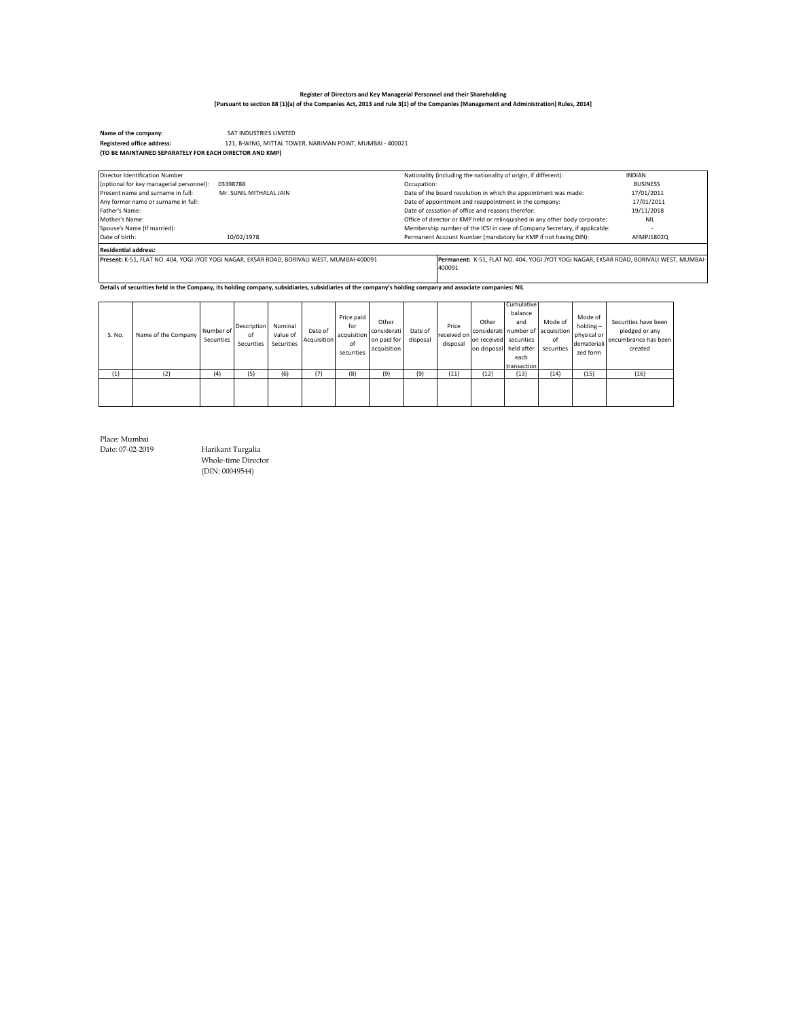SAT INDUSTRIES LIMITED **Name of the company:**  121, B-WING, MITTAL TOWER, NARIMAN POINT, MUMBAI - 400021 **Registered office address: (TO BE MAINTAINED SEPARATELY FOR EACH DIRECTOR AND KMP)**

| Director Identification Number           |                                                                                             | Nationality (including the nationality of origin, if different):                        | <b>INDIAN</b>   |
|------------------------------------------|---------------------------------------------------------------------------------------------|-----------------------------------------------------------------------------------------|-----------------|
| (optional for key managerial personnel): | 03398788                                                                                    | Occupation:                                                                             | <b>BUSINESS</b> |
| Present name and surname in full:        | Mr. SUNIL MITHALAL JAIN                                                                     | Date of the board resolution in which the appointment was made:                         | 17/01/2011      |
| Any former name or surname in full:      |                                                                                             | Date of appointment and reappointment in the company:                                   | 17/01/2011      |
| Father's Name:                           |                                                                                             | Date of cessation of office and reasons therefor:                                       | 19/11/2018      |
| Mother's Name:                           |                                                                                             | Office of director or KMP held or relinguished in any other body corporate:             | <b>NIL</b>      |
| Spouse's Name (If married):              |                                                                                             | Membership number of the ICSI in case of Company Secretary, if applicable:              |                 |
| Date of birth:                           | 10/02/1978                                                                                  | Permanent Account Number (mandatory for KMP if not having DIN):                         | AFMPJ1802Q      |
| <b>Residential address:</b>              |                                                                                             |                                                                                         |                 |
|                                          | Present: K-51, FLAT NO, 404, YOGI JYOT YOGI NAGAR, EKSAR ROAD, BORIVALI WEST, MUMBAI-400091 | Permanent: K-51, FLAT NO. 404, YOGI JYOT YOGI NAGAR, EKSAR ROAD, BORIVALI WEST, MUMBAI- |                 |
|                                          |                                                                                             | 400091                                                                                  |                 |
|                                          |                                                                                             |                                                                                         |                 |

**Details of securities held in the Company, its holding company, subsidiaries, subsidiaries of the company's holding company and associate companies: NIL**

| S. No. | Name of the Company | Number of<br>Securities | Description<br>οf<br>Securities | Nominal<br>Value of<br>Securities | Date of<br>Acquisition | Price paid<br>for<br>acquisition<br>of<br>securities | Other<br>considerati<br>on paid for<br>acquisition | Date of<br>disposal | Price<br>received on<br>disposal | Other<br>on received securities<br>on disposal held after | Cumulative<br>balance<br>and<br>considerati number of acquisition<br>each<br>transaction | Mode of<br>of<br>securities | Mode of<br>$holding -$<br>physical or<br>demateriali<br>zed form | Securities have been<br>pledged or any<br>encumbrance has been<br>created |
|--------|---------------------|-------------------------|---------------------------------|-----------------------------------|------------------------|------------------------------------------------------|----------------------------------------------------|---------------------|----------------------------------|-----------------------------------------------------------|------------------------------------------------------------------------------------------|-----------------------------|------------------------------------------------------------------|---------------------------------------------------------------------------|
| (1)    | (2)                 | (4)                     | (5)                             | (6)                               | (7)                    | (8)                                                  | (9)                                                | (9)                 | (11)                             | (12)                                                      | (13)                                                                                     | (14)                        | (15)                                                             | (16)                                                                      |
|        |                     |                         |                                 |                                   |                        |                                                      |                                                    |                     |                                  |                                                           |                                                                                          |                             |                                                                  |                                                                           |

Place: Mumbai

Date: 07-02-2019 Harikant Turgalia Whole-time Director (DIN: 00049544)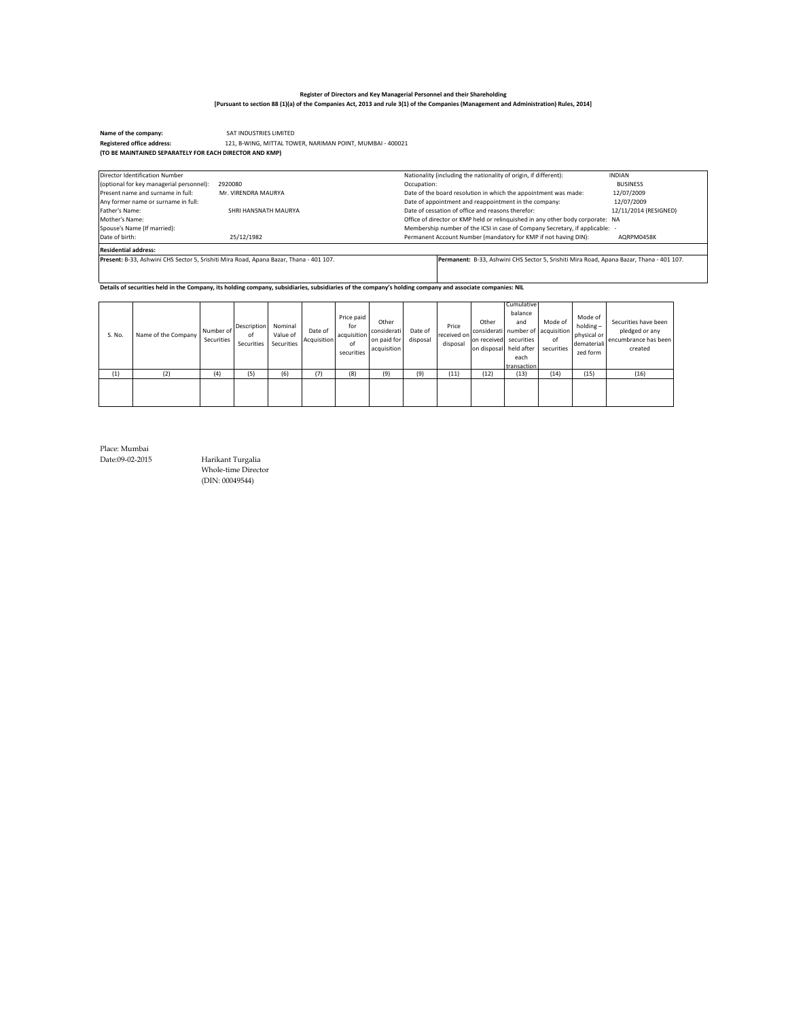SAT INDUSTRIES LIMITED **Name of the company:**  121, B-WING, MITTAL TOWER, NARIMAN POINT, MUMBAI - 400021 **Registered office address: (TO BE MAINTAINED SEPARATELY FOR EACH DIRECTOR AND KMP)**

| Director Identification Number           |                                                                                        | Nationality (including the nationality of origin, if different):                         | <b>INDIAN</b>         |
|------------------------------------------|----------------------------------------------------------------------------------------|------------------------------------------------------------------------------------------|-----------------------|
| (optional for key managerial personnel): | 2920080                                                                                | Occupation:                                                                              | <b>BUSINESS</b>       |
| Present name and surname in full:        | Mr. VIRENDRA MAURYA                                                                    | Date of the board resolution in which the appointment was made:                          | 12/07/2009            |
| Any former name or surname in full:      |                                                                                        | Date of appointment and reappointment in the company:                                    | 12/07/2009            |
| Father's Name:                           | SHRI HANSNATH MAURYA                                                                   | Date of cessation of office and reasons therefor:                                        | 12/11/2014 (RESIGNED) |
| Mother's Name:                           |                                                                                        | Office of director or KMP held or relinguished in any other body corporate: NA           |                       |
| Spouse's Name (If married):              |                                                                                        | Membership number of the ICSI in case of Company Secretary, if applicable: -             |                       |
| Date of birth:                           | 25/12/1982                                                                             | Permanent Account Number (mandatory for KMP if not having DIN):                          | AQRPM0458K            |
| <b>Residential address:</b>              |                                                                                        |                                                                                          |                       |
|                                          | Present: B-33. Ashwini CHS Sector 5. Srishiti Mira Road. Apana Bazar, Thana - 401 107. | Permanent: B-33, Ashwini CHS Sector 5, Srishiti Mira Road, Apana Bazar, Thana - 401 107, |                       |
|                                          |                                                                                        |                                                                                          |                       |
|                                          |                                                                                        |                                                                                          |                       |

**Details of securities held in the Company, its holding company, subsidiaries, subsidiaries of the company's holding company and associate companies: NIL**

| S. No. | Name of the Company | Number of<br>Securities | Description<br>οf<br>Securities | Nominal<br>Value of<br>Securities | Date of<br>Acquisition | Price paid<br>for<br>acquisition<br>of<br>securities | Other<br>considerati<br>on paid for<br>acquisition | Date of<br>disposal | Price<br>received on<br>disposal | Other<br>on received securities<br>on disposal held after | <b>Cumulative</b><br>balance<br>and<br>each<br>transaction | Mode of<br>considerati number of acquisition<br>of<br>securities | Mode of<br>$holding -$<br>physical or<br>demateriali<br>zed form | Securities have been<br>pledged or any<br>encumbrance has been<br>created |
|--------|---------------------|-------------------------|---------------------------------|-----------------------------------|------------------------|------------------------------------------------------|----------------------------------------------------|---------------------|----------------------------------|-----------------------------------------------------------|------------------------------------------------------------|------------------------------------------------------------------|------------------------------------------------------------------|---------------------------------------------------------------------------|
| (1)    | (2)                 | (4)                     | (5)                             | (6)                               | (7)                    | (8)                                                  | (9)                                                | (9)                 | (11)                             | (12)                                                      | (13)                                                       | (14)                                                             | (15)                                                             | (16)                                                                      |
|        |                     |                         |                                 |                                   |                        |                                                      |                                                    |                     |                                  |                                                           |                                                            |                                                                  |                                                                  |                                                                           |

Place: Mumbai

Date:09-02-2015 Harikant Turgalia Whole-time Director (DIN: 00049544)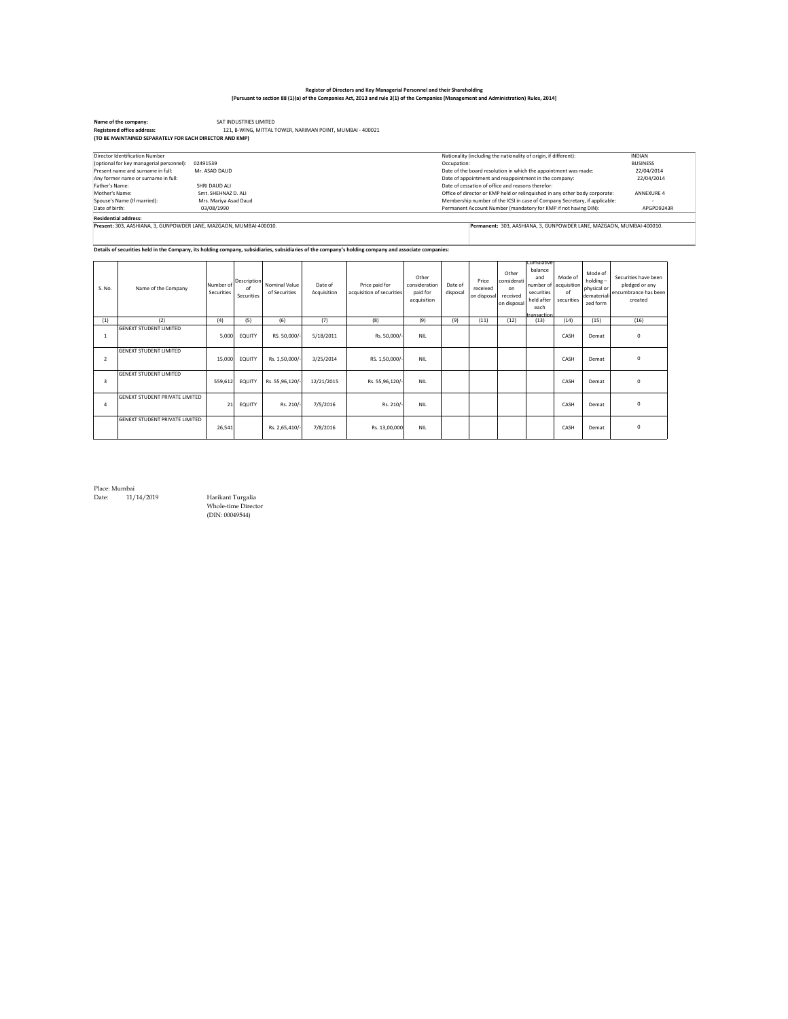### **Register of Directors and Key Managerial Personnel and their Shareholding**

| [Pursuant to section 88 (1)(a) of the Companies Act, 2013 and rule 3(1) of the Companies (Management and Administration) Rules, 2014] |  |
|---------------------------------------------------------------------------------------------------------------------------------------|--|
|---------------------------------------------------------------------------------------------------------------------------------------|--|

|                         | <b>Registered office address:</b>                                                                                                                    |                       |             |                | 121, B-WING, MITTAL TOWER, NARIMAN POINT, MUMBAI - 400021 |                           |               |             |                                                                                                                          |                                                   |            |            |             |                                                                      |  |
|-------------------------|------------------------------------------------------------------------------------------------------------------------------------------------------|-----------------------|-------------|----------------|-----------------------------------------------------------|---------------------------|---------------|-------------|--------------------------------------------------------------------------------------------------------------------------|---------------------------------------------------|------------|------------|-------------|----------------------------------------------------------------------|--|
|                         | (TO BE MAINTAINED SEPARATELY FOR EACH DIRECTOR AND KMP)                                                                                              |                       |             |                |                                                           |                           |               |             |                                                                                                                          |                                                   |            |            |             |                                                                      |  |
|                         | Director Identification Number                                                                                                                       |                       |             |                |                                                           |                           |               |             | Nationality (including the nationality of origin, if different):                                                         |                                                   |            |            |             | <b>INDIAN</b>                                                        |  |
|                         | (optional for key managerial personnel):                                                                                                             | 02491539              |             |                |                                                           |                           |               | Occupation: |                                                                                                                          |                                                   |            |            |             | <b>BUSINESS</b>                                                      |  |
|                         | Present name and surname in full:                                                                                                                    | Mr. ASAD DAUD         |             |                |                                                           |                           |               |             |                                                                                                                          |                                                   |            |            |             | 22/04/2014                                                           |  |
|                         | Any former name or surname in full:                                                                                                                  |                       |             |                |                                                           |                           |               |             | Date of the board resolution in which the appointment was made:<br>Date of appointment and reappointment in the company: |                                                   |            |            |             |                                                                      |  |
| Father's Name:          |                                                                                                                                                      | SHRI DAUD ALI         |             |                |                                                           |                           |               |             |                                                                                                                          | Date of cessation of office and reasons therefor: |            |            |             |                                                                      |  |
| Mother's Name:          |                                                                                                                                                      | Smt. SHEHNAZ D. ALI   |             |                |                                                           |                           |               |             | Office of director or KMP held or relinquished in any other body corporate:                                              |                                                   |            |            |             | <b>ANNEXURE 4</b>                                                    |  |
|                         | Spouse's Name (If married):                                                                                                                          | Mrs. Mariya Asad Daud |             |                |                                                           |                           |               |             | Membership number of the ICSI in case of Company Secretary, if applicable:                                               |                                                   |            |            |             |                                                                      |  |
| Date of birth:          |                                                                                                                                                      | 03/08/1990            |             |                |                                                           |                           |               |             | Permanent Account Number (mandatory for KMP if not having DIN):                                                          |                                                   |            |            |             | APGPD9243R                                                           |  |
|                         | <b>Residential address:</b>                                                                                                                          |                       |             |                |                                                           |                           |               |             |                                                                                                                          |                                                   |            |            |             |                                                                      |  |
|                         | Present: 303, AASHIANA, 3, GUNPOWDER LANE, MAZGAON, MUMBAI-400010.                                                                                   |                       |             |                |                                                           |                           |               |             |                                                                                                                          |                                                   |            |            |             | Permanent: 303, AASHIANA, 3, GUNPOWDER LANE, MAZGAON, MUMBAI-400010. |  |
|                         |                                                                                                                                                      |                       |             |                |                                                           |                           |               |             |                                                                                                                          |                                                   |            |            |             |                                                                      |  |
|                         |                                                                                                                                                      |                       |             |                |                                                           |                           |               |             |                                                                                                                          |                                                   |            |            |             |                                                                      |  |
|                         | Details of securities held in the Company, its holding company, subsidiaries, subsidiaries of the company's holding company and associate companies: |                       |             |                |                                                           |                           |               |             |                                                                                                                          |                                                   |            |            |             |                                                                      |  |
|                         |                                                                                                                                                      |                       |             |                |                                                           |                           |               |             |                                                                                                                          |                                                   |            |            |             |                                                                      |  |
|                         |                                                                                                                                                      |                       |             |                |                                                           |                           |               |             |                                                                                                                          |                                                   | Cumulative |            |             |                                                                      |  |
|                         |                                                                                                                                                      |                       |             |                |                                                           |                           |               |             |                                                                                                                          |                                                   | balance    |            |             |                                                                      |  |
|                         |                                                                                                                                                      |                       |             |                |                                                           |                           |               |             |                                                                                                                          | Other                                             |            |            | Mode of     |                                                                      |  |
|                         |                                                                                                                                                      |                       |             |                |                                                           |                           | Other         |             |                                                                                                                          |                                                   | and        | Mode of    |             |                                                                      |  |
|                         |                                                                                                                                                      | Number of             | Description | Nominal Value  | Date of                                                   | Price paid for            | consideration | Date of     | Price                                                                                                                    | onsiderat:                                        | number of  | acquisitio | holding-    | pledged or any                                                       |  |
| S. No.                  | Name of the Company                                                                                                                                  | Securities            | of          | of Securities  | Acquisition                                               | acquisition of securities | paid for      | disposal    | received                                                                                                                 | on                                                | securities | of         | physical or |                                                                      |  |
|                         |                                                                                                                                                      |                       | Securities  |                |                                                           |                           | acquisition   |             | on disposal                                                                                                              | received                                          | held after | securities | dematerial  | created                                                              |  |
|                         |                                                                                                                                                      |                       |             |                |                                                           |                           |               |             |                                                                                                                          | on disposal                                       | each       |            | zed form    |                                                                      |  |
|                         |                                                                                                                                                      |                       |             |                |                                                           |                           |               |             |                                                                                                                          |                                                   | ansaction  |            |             | Securities have been<br>encumbrance has been                         |  |
| (1)                     | (2)                                                                                                                                                  | (4)                   | (5)         | (6)            | (7)                                                       | (8)                       | (9)           | (9)         | (11)                                                                                                                     | (12)                                              | (13)       | (14)       | (15)        | (16)                                                                 |  |
|                         | <b>GENEXT STUDENT LIMITED</b>                                                                                                                        |                       |             |                |                                                           |                           |               |             |                                                                                                                          |                                                   |            |            |             |                                                                      |  |
| $\mathbf{1}$            |                                                                                                                                                      | 5.000                 | EQUITY      | RS. 50,000/    | 5/18/2011                                                 | Rs. 50,000/-              | <b>NIL</b>    |             |                                                                                                                          |                                                   |            | CASH       | Demat       | 0                                                                    |  |
|                         |                                                                                                                                                      |                       |             |                |                                                           |                           |               |             |                                                                                                                          |                                                   |            |            |             |                                                                      |  |
|                         | <b>GENEXT STUDENT LIMITED</b>                                                                                                                        |                       |             |                |                                                           |                           |               |             |                                                                                                                          |                                                   |            |            |             |                                                                      |  |
| $\overline{2}$          |                                                                                                                                                      | 15.000                | EQUITY      | Rs. 1,50,000/  | 3/25/2014                                                 | RS. 1,50,000/             | <b>NIL</b>    |             |                                                                                                                          |                                                   |            | CASH       | Demat       | 0                                                                    |  |
|                         |                                                                                                                                                      |                       |             |                |                                                           |                           |               |             |                                                                                                                          |                                                   |            |            |             |                                                                      |  |
|                         | <b>GENEXT STUDENT LIMITED</b>                                                                                                                        |                       |             |                |                                                           |                           |               |             |                                                                                                                          |                                                   |            |            |             |                                                                      |  |
| $\overline{\mathbf{3}}$ |                                                                                                                                                      | 559,612               | EQUITY      | Rs. 55,96,120/ | 12/21/2015                                                | Rs. 55,96,120/            | <b>NIL</b>    |             |                                                                                                                          |                                                   |            | CASH       | Demat       | 0                                                                    |  |
|                         |                                                                                                                                                      |                       |             |                |                                                           |                           |               |             |                                                                                                                          |                                                   |            |            |             |                                                                      |  |
|                         | <b>GENEXT STUDENT PRIVATE LIMITED</b>                                                                                                                |                       |             |                |                                                           |                           |               |             |                                                                                                                          |                                                   |            |            |             |                                                                      |  |
| $\overline{a}$          |                                                                                                                                                      | 21                    | EQUITY      | Rs. 210/-      | 7/5/2016                                                  | Rs. 210/-                 | <b>NIL</b>    |             |                                                                                                                          |                                                   |            | CASH       | Demat       | 0                                                                    |  |
|                         |                                                                                                                                                      |                       |             |                |                                                           |                           |               |             |                                                                                                                          |                                                   |            |            |             |                                                                      |  |
|                         | <b>GENEXT STUDENT PRIVATE LIMITED</b>                                                                                                                | 26,541                |             | Rs. 2,65,410/  | 7/8/2016                                                  | Rs. 13,00,000             | <b>NIL</b>    |             |                                                                                                                          |                                                   |            | CASH       | Demat       | $\Omega$                                                             |  |

Place: Mumbai Date: 11/14/2019 Harikant Turgalia

Whole-time Director (DIN: 00049544)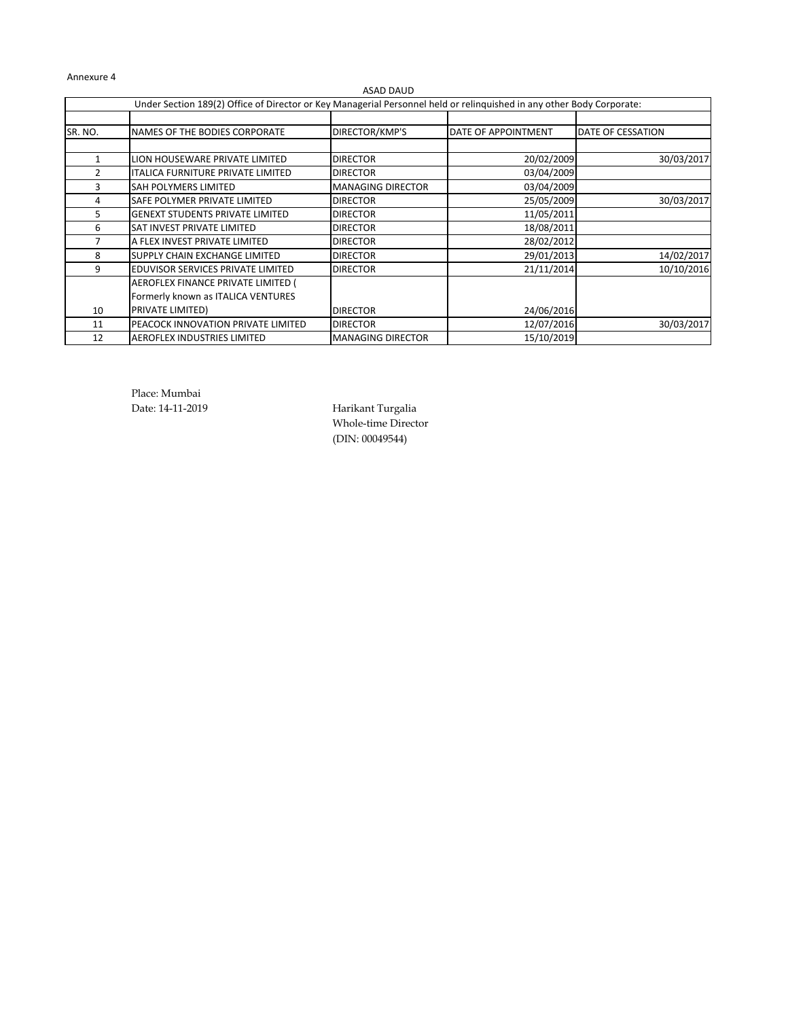|         |                                                                                                                       | ASAD DAUD                |                     |                   |
|---------|-----------------------------------------------------------------------------------------------------------------------|--------------------------|---------------------|-------------------|
|         | Under Section 189(2) Office of Director or Key Managerial Personnel held or relinguished in any other Body Corporate: |                          |                     |                   |
|         |                                                                                                                       |                          |                     |                   |
| SR. NO. | NAMES OF THE BODIES CORPORATE                                                                                         | DIRECTOR/KMP'S           | DATE OF APPOINTMENT | DATE OF CESSATION |
|         |                                                                                                                       |                          |                     |                   |
| 1       | LION HOUSEWARE PRIVATE LIMITED                                                                                        | <b>DIRECTOR</b>          | 20/02/2009          | 30/03/2017        |
| 2       | ITALICA FURNITURE PRIVATE LIMITED                                                                                     | <b>DIRECTOR</b>          | 03/04/2009          |                   |
| 3       | SAH POLYMERS LIMITED                                                                                                  | <b>MANAGING DIRECTOR</b> | 03/04/2009          |                   |
| 4       | SAFE POLYMER PRIVATE LIMITED                                                                                          | <b>DIRECTOR</b>          | 25/05/2009          | 30/03/2017        |
| 5       | <b>GENEXT STUDENTS PRIVATE LIMITED</b>                                                                                | <b>DIRECTOR</b>          | 11/05/2011          |                   |
| 6       | SAT INVEST PRIVATE LIMITED                                                                                            | <b>DIRECTOR</b>          | 18/08/2011          |                   |
|         | A FLEX INVEST PRIVATE LIMITED                                                                                         | <b>DIRECTOR</b>          | 28/02/2012          |                   |
| 8       | SUPPLY CHAIN EXCHANGE LIMITED                                                                                         | <b>DIRECTOR</b>          | 29/01/2013          | 14/02/2017        |
| 9       | EDUVISOR SERVICES PRIVATE LIMITED                                                                                     | <b>DIRECTOR</b>          | 21/11/2014          | 10/10/2016        |
|         | AEROFLEX FINANCE PRIVATE LIMITED (                                                                                    |                          |                     |                   |
|         | Formerly known as ITALICA VENTURES                                                                                    |                          |                     |                   |
| 10      | PRIVATE LIMITED)                                                                                                      | <b>DIRECTOR</b>          | 24/06/2016          |                   |
| 11      | PEACOCK INNOVATION PRIVATE LIMITED                                                                                    | <b>DIRECTOR</b>          | 12/07/2016          | 30/03/2017        |
| 12      | <b>AEROFLEX INDUSTRIES LIMITED</b>                                                                                    | <b>MANAGING DIRECTOR</b> | 15/10/2019          |                   |

Place: Mumbai

Date: 14-11-2019 Harikant Turgalia Whole-time Director (DIN: 00049544)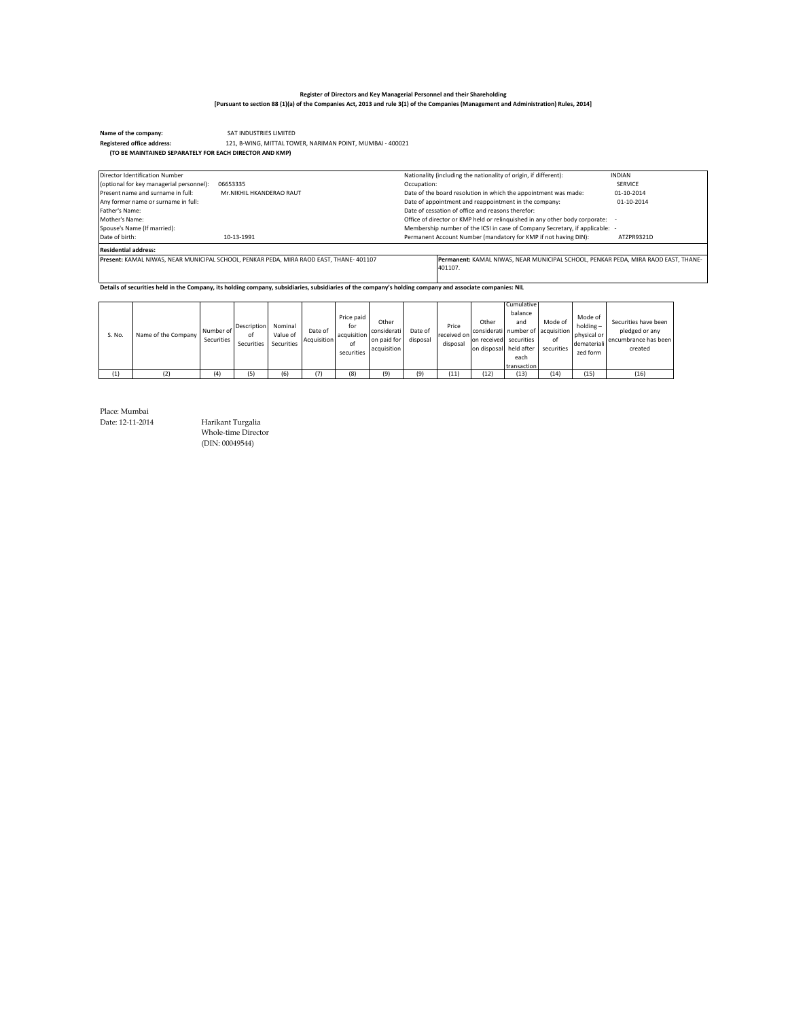**Name of the company: CAT INDUSTRIES LIMITED**<br>**Registered office address: 121, B-WING, MITTAL TOW**  121, B-WING, MITTAL TOWER, NARIMAN POINT, MUMBAI - 400021 **Registered office address: (TO BE MAINTAINED SEPARATELY FOR EACH DIRECTOR AND KMP)**

| Director Identification Number           |                                                                                        |             | Nationality (including the nationality of origin, if different):                             | <b>INDIAN</b> |
|------------------------------------------|----------------------------------------------------------------------------------------|-------------|----------------------------------------------------------------------------------------------|---------------|
| (optional for key managerial personnel): | 06653335                                                                               | Occupation: |                                                                                              | SERVICE       |
| Present name and surname in full:        | Mr.NIKHII HKANDERAO RAUT                                                               |             | Date of the board resolution in which the appointment was made:                              | 01-10-2014    |
| Any former name or surname in full:      |                                                                                        |             | Date of appointment and reappointment in the company:                                        | 01-10-2014    |
| Father's Name:                           |                                                                                        |             | Date of cessation of office and reasons therefor:                                            |               |
| Mother's Name:                           |                                                                                        |             | Office of director or KMP held or relinguished in any other body corporate: -                |               |
| Spouse's Name (If married):              |                                                                                        |             | Membership number of the ICSI in case of Company Secretary, if applicable: -                 |               |
| Date of birth:                           | 10-13-1991                                                                             |             | Permanent Account Number (mandatory for KMP if not having DIN):                              | ATZPR9321D    |
| <b>Residential address:</b>              |                                                                                        |             |                                                                                              |               |
|                                          | Present: KAMAL NIWAS, NEAR MUNICIPAL SCHOOL, PENKAR PEDA, MIRA RAOD EAST, THANE-401107 |             | Permanent: KAMAL NIWAS, NEAR MUNICIPAL SCHOOL, PENKAR PEDA, MIRA RAOD EAST, THANE-<br>401107 |               |

**Details of securities held in the Company, its holding company, subsidiaries, subsidiaries of the company's holding company and associate companies: NIL**

| S. No. | Name of the Company | Number of<br>Securities | Description<br>of<br>Securities | Nominal<br>Value of<br>Securities | Date of<br>Acquisition | Price paid<br>for<br>acquisition<br>of<br>securities | Other<br>considerati<br>on paid for<br>acquisition | Date of<br>disposal | Price<br>received on<br>disposal | Other<br>considerati number of acquisition<br>on received securities<br>on disposal held after | <b>Cumulative</b><br>balance<br>and<br>each<br>transaction | Mode of<br>of<br>securities | Mode of<br>holding-<br>physical or<br>demateriali<br>zed form | Securities have been<br>pledged or any<br>encumbrance has been<br>created |
|--------|---------------------|-------------------------|---------------------------------|-----------------------------------|------------------------|------------------------------------------------------|----------------------------------------------------|---------------------|----------------------------------|------------------------------------------------------------------------------------------------|------------------------------------------------------------|-----------------------------|---------------------------------------------------------------|---------------------------------------------------------------------------|
| (1)    | (2)                 | (4)                     | (5)                             | (6)                               | (7)                    | (8)                                                  | (9)                                                | (9)                 | (11)                             | (12)                                                                                           | (13)                                                       | (14)                        | (15)                                                          | (16)                                                                      |

Place: Mumbai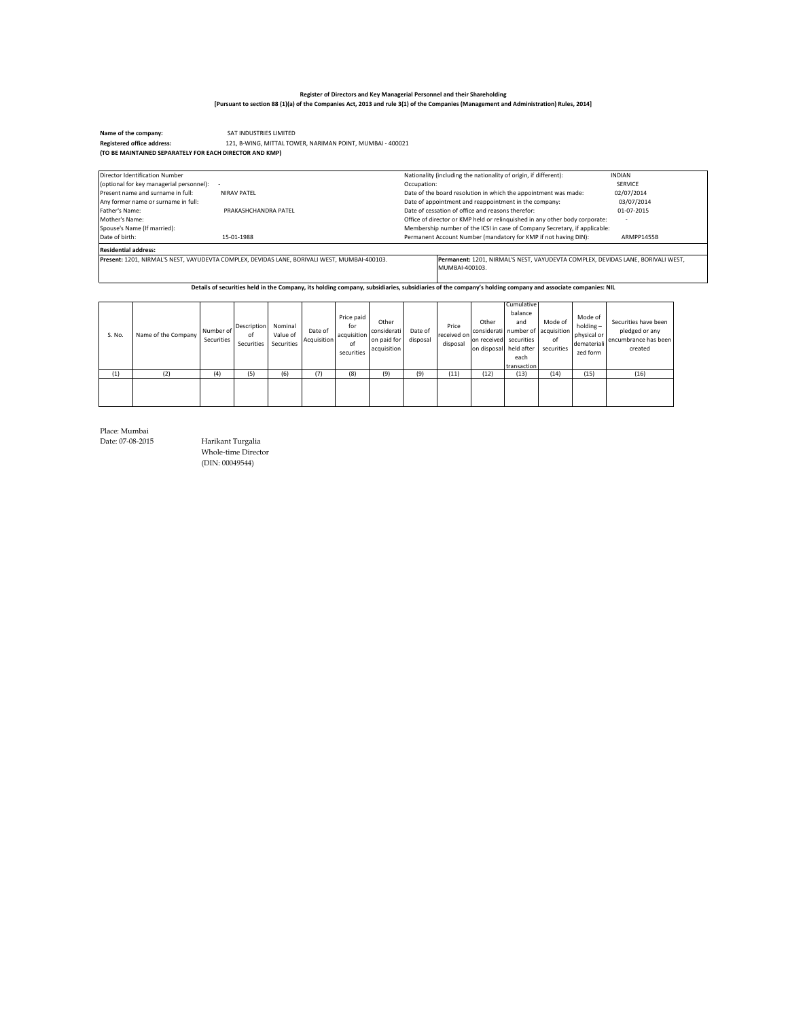Name of the company:<br> **Registered office address:**<br>
121, B-WING, MITTAL TOW 121, B-WING, MITTAL TOWER, NARIMAN POINT, MUMBAI - 400021 **Registered office address: (TO BE MAINTAINED SEPARATELY FOR EACH DIRECTOR AND KMP)**

| Director Identification Number           |                                                                                              | Nationality (including the nationality of origin, if different):                                  | <b>INDIAN</b>  |
|------------------------------------------|----------------------------------------------------------------------------------------------|---------------------------------------------------------------------------------------------------|----------------|
| (optional for key managerial personnel): |                                                                                              | Occupation:                                                                                       | <b>SERVICE</b> |
| Present name and surname in full:        | NIRAV PATFI                                                                                  | Date of the board resolution in which the appointment was made:                                   | 02/07/2014     |
| Any former name or surname in full:      |                                                                                              | Date of appointment and reappointment in the company:                                             | 03/07/2014     |
| Father's Name:                           | PRAKASHCHANDRA PATFI                                                                         | Date of cessation of office and reasons therefor:                                                 | 01-07-2015     |
| Mother's Name:                           |                                                                                              | Office of director or KMP held or relinquished in any other body corporate:                       |                |
| Spouse's Name (If married):              |                                                                                              | Membership number of the ICSI in case of Company Secretary, if applicable:                        |                |
| Date of birth:                           | 15-01-1988                                                                                   | Permanent Account Number (mandatory for KMP if not having DIN):                                   | ARMPP1455B     |
| <b>Residential address:</b>              |                                                                                              |                                                                                                   |                |
|                                          | Present: 1201. NIRMAL'S NEST. VAYUDEVTA COMPLEX. DEVIDAS LANE. BORIVALI WEST. MUMBAI-400103. | Permanent: 1201, NIRMAL'S NEST, VAYUDEVTA COMPLEX, DEVIDAS LANE, BORIVALI WEST.<br>MUMBAI-400103. |                |

**Details of securities held in the Company, its holding company, subsidiaries, subsidiaries of the company's holding company and associate companies: NIL**

| S. No. | Name of the Company | Number of<br>Securities | Description<br>οf<br>Securities | Nominal<br>Value of<br>Securities | Date of<br>Acquisition | Price paid<br>for<br>acquisition<br>of<br>securities | Other<br>considerati<br>on paid for<br>acquisition | Date of<br>disposal | Price<br>received on<br>disposal | Other<br>considerati number of acquisition<br>on received securities<br>on disposal held after | Cumulative I<br>balance<br>and<br>each<br>transaction | Mode of<br>of<br>securities | Mode of<br>$holding -$<br>physical or<br>demateriali<br>zed form | Securities have been<br>pledged or any<br>encumbrance has been<br>created |
|--------|---------------------|-------------------------|---------------------------------|-----------------------------------|------------------------|------------------------------------------------------|----------------------------------------------------|---------------------|----------------------------------|------------------------------------------------------------------------------------------------|-------------------------------------------------------|-----------------------------|------------------------------------------------------------------|---------------------------------------------------------------------------|
| (1)    | (2)                 | (4)                     | (5)                             | 16)                               | (7)                    | (8)                                                  | (9)                                                | (9)                 | (11)                             | (12)                                                                                           | (13)                                                  | (14)                        | (15)                                                             | (16)                                                                      |
|        |                     |                         |                                 |                                   |                        |                                                      |                                                    |                     |                                  |                                                                                                |                                                       |                             |                                                                  |                                                                           |

Place: Mumbai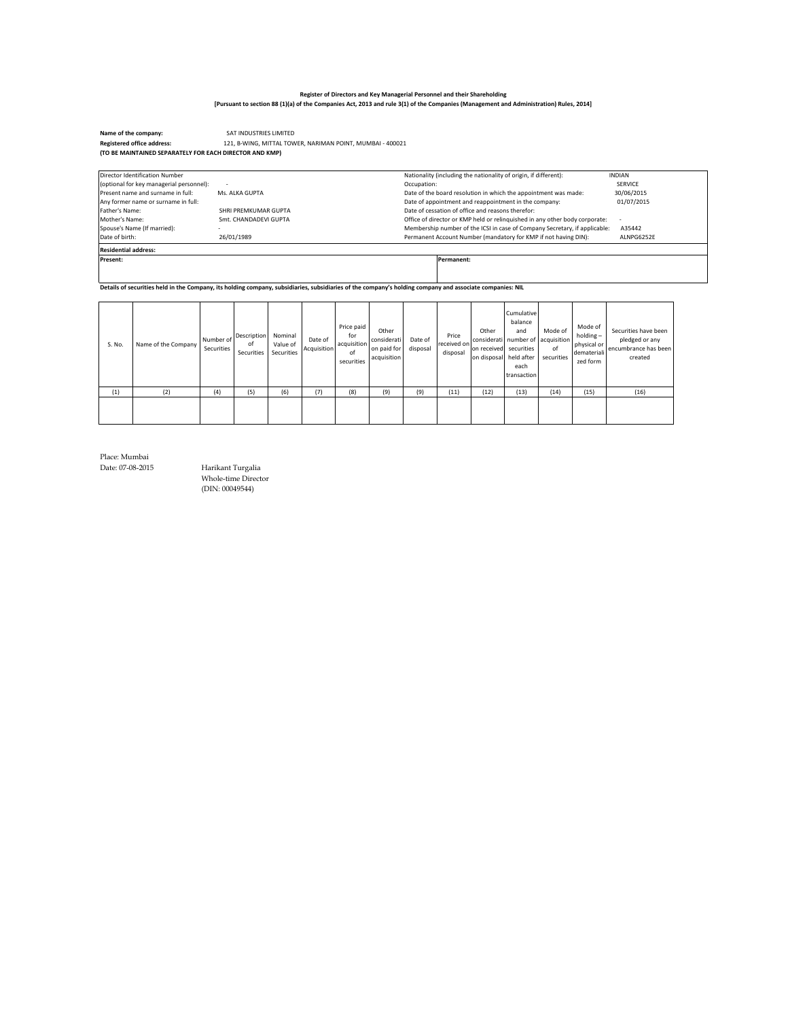SAT INDUSTRIES LIMITED **Name of the company:**  121, B-WING, MITTAL TOWER, NARIMAN POINT, MUMBAI - 400021 **Registered office address: (TO BE MAINTAINED SEPARATELY FOR EACH DIRECTOR AND KMP)**

| Director Identification Number           |                          | Nationality (including the nationality of origin, if different):            | <b>INDIAN</b> |
|------------------------------------------|--------------------------|-----------------------------------------------------------------------------|---------------|
| (optional for key managerial personnel): | $\overline{\phantom{a}}$ | Occupation:                                                                 | SERVICE       |
| Present name and surname in full:        | Ms. ALKA GUPTA           | Date of the board resolution in which the appointment was made:             | 30/06/2015    |
| Any former name or surname in full:      |                          | Date of appointment and reappointment in the company:                       | 01/07/2015    |
| Father's Name:                           | SHRI PREMKUMAR GUPTA     | Date of cessation of office and reasons therefor:                           |               |
| Mother's Name:                           | Smt. CHANDADEVI GUPTA    | Office of director or KMP held or relinguished in any other body corporate: |               |
| Spouse's Name (If married):              | $\sim$                   | Membership number of the ICSI in case of Company Secretary, if applicable:  | A35442        |
| Date of birth:                           | 26/01/1989               | Permanent Account Number (mandatory for KMP if not having DIN):             | ALNPG6252E    |
| <b>Residential address:</b>              |                          |                                                                             |               |
| Present:                                 |                          | Permanent:                                                                  |               |
|                                          |                          |                                                                             |               |
|                                          |                          |                                                                             |               |

**Details of securities held in the Company, its holding company, subsidiaries, subsidiaries of the company's holding company and associate companies: NIL**

| S. No. | Name of the Company | Number of<br>Securities | Description<br>of<br>Securities | Nominal<br>Value of<br>Securities | Date of<br>Acquisition | Price paid<br>for<br>acquisition<br>of<br>securities | Other<br>considerati<br>on paid for<br>acquisition | Date of<br>disposal | Price<br>received on<br>disposal | Other<br>on received securities<br>on disposal held after | Cumulative<br>balance<br>and<br>considerati number of acquisition<br>each<br>transaction | Mode of<br>of<br>securities | Mode of<br>$holding -$<br>physical or<br>demateriali<br>zed form | Securities have been<br>pledged or any<br>encumbrance has been<br>created |
|--------|---------------------|-------------------------|---------------------------------|-----------------------------------|------------------------|------------------------------------------------------|----------------------------------------------------|---------------------|----------------------------------|-----------------------------------------------------------|------------------------------------------------------------------------------------------|-----------------------------|------------------------------------------------------------------|---------------------------------------------------------------------------|
| (1)    | (2)                 | (4)                     | (5)                             | (6)                               | (7)                    | (8)                                                  | (9)                                                | (9)                 | (11)                             | (12)                                                      | (13)                                                                                     | (14)                        | (15)                                                             | (16)                                                                      |
|        |                     |                         |                                 |                                   |                        |                                                      |                                                    |                     |                                  |                                                           |                                                                                          |                             |                                                                  |                                                                           |

Place: Mumbai